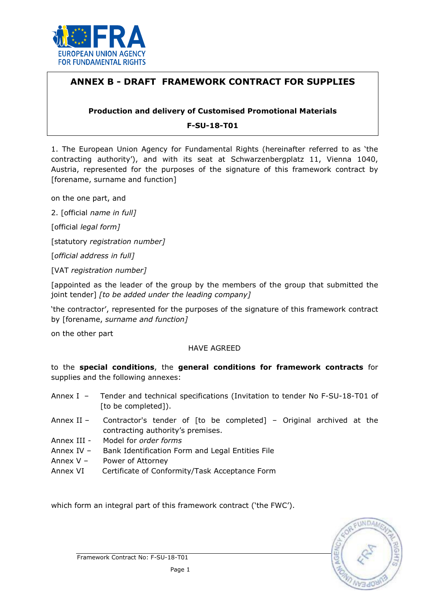

# ANNEX B - DRAFT FRAMEWORK CONTRACT FOR SUPPLIES

## Production and delivery of Customised Promotional Materials

F-SU-18-T01

1. The European Union Agency for Fundamental Rights (hereinafter referred to as 'the contracting authority'), and with its seat at Schwarzenbergplatz 11, Vienna 1040, Austria, represented for the purposes of the signature of this framework contract by [forename, surname and function]

on the one part, and

2. [official name in full]

[official *legal form]* 

[statutory registration number]

[official address in full]

[VAT registration number]

[appointed as the leader of the group by the members of the group that submitted the joint tender] [to be added under the leading company]

'the contractor', represented for the purposes of the signature of this framework contract by [forename, surname and function]

on the other part

### HAVE AGREED

to the special conditions, the general conditions for framework contracts for supplies and the following annexes:

- Annex I Tender and technical specifications (Invitation to tender No F-SU-18-T01 of [to be completed]).
- Annex II Contractor's tender of [to be completed] Original archived at the contracting authority's premises.
- Annex III Model for order forms
- Annex IV Bank Identification Form and Legal Entities File
- Annex V Power of Attorney
- Annex VI Certificate of Conformity/Task Acceptance Form

which form an integral part of this framework contract ('the FWC').

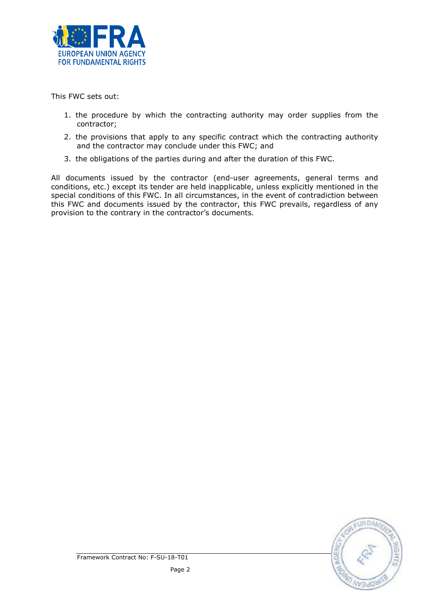

This FWC sets out:

- 1. the procedure by which the contracting authority may order supplies from the contractor;
- 2. the provisions that apply to any specific contract which the contracting authority and the contractor may conclude under this FWC; and
- 3. the obligations of the parties during and after the duration of this FWC.

All documents issued by the contractor (end-user agreements, general terms and conditions, etc.) except its tender are held inapplicable, unless explicitly mentioned in the special conditions of this FWC. In all circumstances, in the event of contradiction between this FWC and documents issued by the contractor, this FWC prevails, regardless of any provision to the contrary in the contractor's documents.

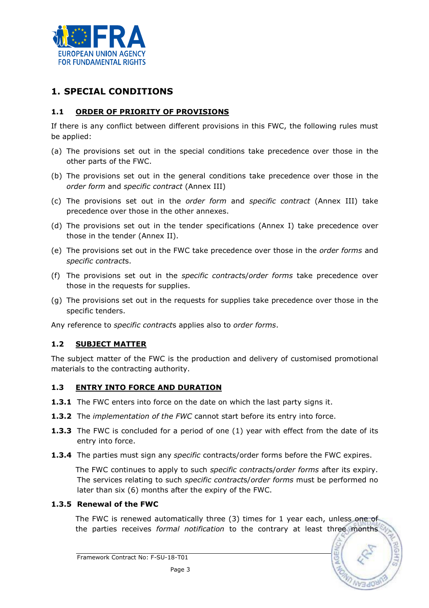

# 1. SPECIAL CONDITIONS

# 1.1 ORDER OF PRIORITY OF PROVISIONS

If there is any conflict between different provisions in this FWC, the following rules must be applied:

- (a) The provisions set out in the special conditions take precedence over those in the other parts of the FWC.
- (b) The provisions set out in the general conditions take precedence over those in the order form and specific contract (Annex III)
- (c) The provisions set out in the order form and specific contract (Annex III) take precedence over those in the other annexes.
- (d) The provisions set out in the tender specifications (Annex I) take precedence over those in the tender (Annex II).
- (e) The provisions set out in the FWC take precedence over those in the order forms and specific contracts.
- (f) The provisions set out in the specific contracts/order forms take precedence over those in the requests for supplies.
- (g) The provisions set out in the requests for supplies take precedence over those in the specific tenders.

Any reference to *specific contracts* applies also to *order forms*.

### 1.2 SUBJECT MATTER

The subject matter of the FWC is the production and delivery of customised promotional materials to the contracting authority.

### 1.3 ENTRY INTO FORCE AND DURATION

- **1.3.1** The FWC enters into force on the date on which the last party signs it.
- 1.3.2 The implementation of the FWC cannot start before its entry into force.
- **1.3.3** The FWC is concluded for a period of one (1) year with effect from the date of its entry into force.
- **1.3.4** The parties must sign any *specific* contracts/order forms before the FWC expires.

The FWC continues to apply to such *specific contracts/order forms* after its expiry. The services relating to such *specific contracts/order forms* must be performed no later than six (6) months after the expiry of the FWC.

### 1.3.5 Renewal of the FWC

The FWC is renewed automatically three (3) times for 1 year each, unless one of the parties receives formal notification to the contrary at least three months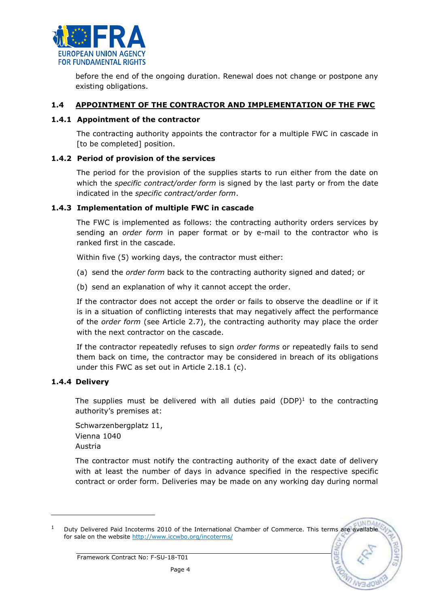

before the end of the ongoing duration. Renewal does not change or postpone any existing obligations.

### 1.4 APPOINTMENT OF THE CONTRACTOR AND IMPLEMENTATION OF THE FWC

### 1.4.1 Appointment of the contractor

The contracting authority appoints the contractor for a multiple FWC in cascade in [to be completed] position.

### 1.4.2 Period of provision of the services

The period for the provision of the supplies starts to run either from the date on which the *specific contract/order form* is signed by the last party or from the date indicated in the specific contract/order form.

### 1.4.3 Implementation of multiple FWC in cascade

The FWC is implemented as follows: the contracting authority orders services by sending an order form in paper format or by e-mail to the contractor who is ranked first in the cascade.

Within five (5) working days, the contractor must either:

- (a) send the order form back to the contracting authority signed and dated; or
- (b) send an explanation of why it cannot accept the order.

If the contractor does not accept the order or fails to observe the deadline or if it is in a situation of conflicting interests that may negatively affect the performance of the order form (see Article 2.7), the contracting authority may place the order with the next contractor on the cascade.

If the contractor repeatedly refuses to sign order forms or repeatedly fails to send them back on time, the contractor may be considered in breach of its obligations under this FWC as set out in Article 2.18.1 (c).

### 1.4.4 Delivery

l

The supplies must be delivered with all duties paid  $(DDP)^1$  to the contracting authority's premises at:

Schwarzenbergplatz 11, Vienna 1040 Austria

The contractor must notify the contracting authority of the exact date of delivery with at least the number of days in advance specified in the respective specific contract or order form. Deliveries may be made on any working day during normal

<sup>1</sup> Duty Delivered Paid Incoterms 2010 of the International Chamber of Commerce. This terms are available for sale on the website http://www.iccwbo.org/incoterms/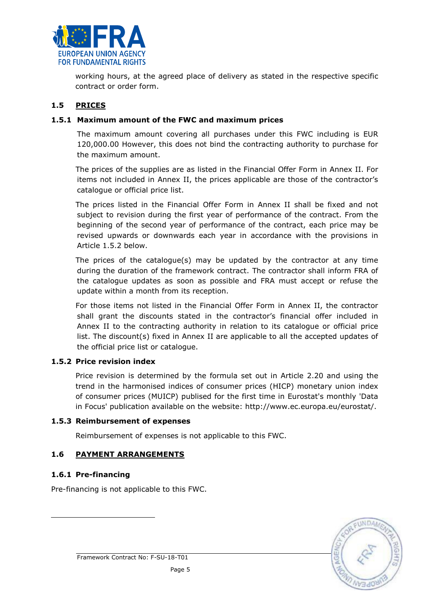

working hours, at the agreed place of delivery as stated in the respective specific contract or order form.

# 1.5 PRICES

### 1.5.1 Maximum amount of the FWC and maximum prices

The maximum amount covering all purchases under this FWC including is EUR 120,000.00 However, this does not bind the contracting authority to purchase for the maximum amount.

The prices of the supplies are as listed in the Financial Offer Form in Annex II. For items not included in Annex II, the prices applicable are those of the contractor's catalogue or official price list.

The prices listed in the Financial Offer Form in Annex II shall be fixed and not subject to revision during the first year of performance of the contract. From the beginning of the second year of performance of the contract, each price may be revised upwards or downwards each year in accordance with the provisions in Article 1.5.2 below.

The prices of the catalogue(s) may be updated by the contractor at any time during the duration of the framework contract. The contractor shall inform FRA of the catalogue updates as soon as possible and FRA must accept or refuse the update within a month from its reception.

For those items not listed in the Financial Offer Form in Annex II, the contractor shall grant the discounts stated in the contractor's financial offer included in Annex II to the contracting authority in relation to its catalogue or official price list. The discount(s) fixed in Annex II are applicable to all the accepted updates of the official price list or catalogue.

### 1.5.2 Price revision index

Price revision is determined by the formula set out in Article 2.20 and using the trend in the harmonised indices of consumer prices (HICP) monetary union index of consumer prices (MUICP) publised for the first time in Eurostat's monthly 'Data in Focus' publication available on the website: http://www.ec.europa.eu/eurostat/.

### 1.5.3 Reimbursement of expenses

Reimbursement of expenses is not applicable to this FWC.

# 1.6 PAYMENT ARRANGEMENTS

### 1.6.1 Pre-financing

l

Pre-financing is not applicable to this FWC.

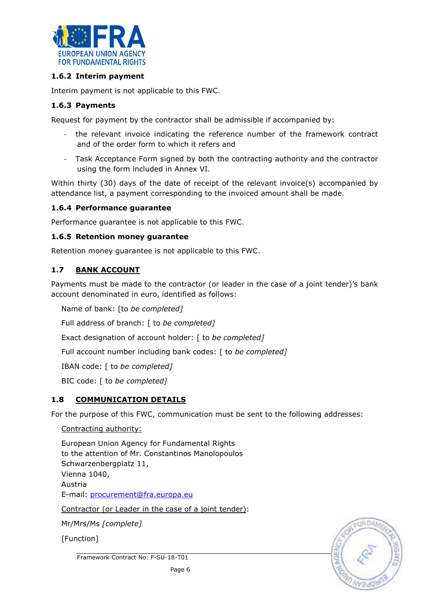

## 1.6.2 Interim payment

Interim payment is not applicable to this FWC.

### 1.6.3 Payments

Request for payment by the contractor shall be admissible if accompanied by:

- the relevant invoice indicating the reference number of the framework contract and of the order form to which it refers and
- Task Acceptance Form signed by both the contracting authority and the contractor using the form included in Annex VI.

Within thirty (30) days of the date of receipt of the relevant invoice(s) accompanied by attendance list, a payment corresponding to the invoiced amount shall be made.

#### 1.6.4 Performance guarantee

Performance guarantee is not applicable to this FWC.

#### 1.6.5 Retention money guarantee

Retention money guarantee is not applicable to this FWC.

### 1.7 BANK ACCOUNT

Payments must be made to the contractor (or leader in the case of a joint tender)'s bank account denominated in euro, identified as follows:

Name of bank: [to be completed]

Full address of branch: [ to be completed]

Exact designation of account holder: [ to be completed]

Full account number including bank codes: [ to be completed]

IBAN code: [ to be completed]

BIC code: [ to be completed]

### 1.8 COMMUNICATION DETAILS

For the purpose of this FWC, communication must be sent to the following addresses:

Contracting authority:

European Union Agency for Fundamental Rights to the attention of Mr. Constantinos Manolopoulos Schwarzenbergplatz 11, Vienna 1040, Austria E-mail: procurement@fra.europa.eu

Contractor (or Leader in the case of a joint tender):

Mr/Mrs/Ms [complete]

[Function]

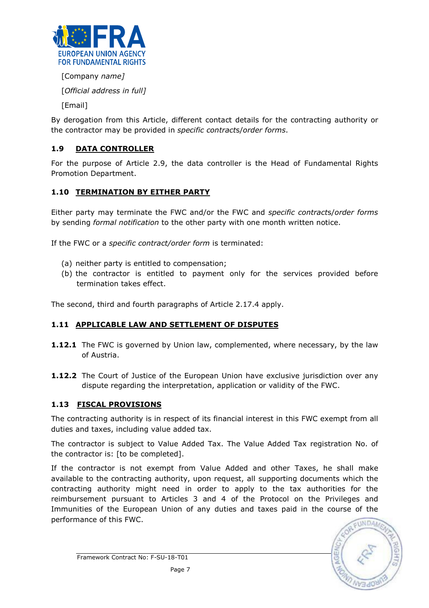

[Company name]

[Official address in full]

[Email]

By derogation from this Article, different contact details for the contracting authority or the contractor may be provided in specific contracts/order forms.

# 1.9 DATA CONTROLLER

For the purpose of Article 2.9, the data controller is the Head of Fundamental Rights Promotion Department.

# 1.10 TERMINATION BY EITHER PARTY

Either party may terminate the FWC and/or the FWC and specific contracts/order forms by sending *formal notification* to the other party with one month written notice.

If the FWC or a specific contract/order form is terminated:

- (a) neither party is entitled to compensation;
- (b) the contractor is entitled to payment only for the services provided before termination takes effect.

The second, third and fourth paragraphs of Article 2.17.4 apply.

# 1.11 APPLICABLE LAW AND SETTLEMENT OF DISPUTES

- **1.12.1** The FWC is governed by Union law, complemented, where necessary, by the law of Austria.
- **1.12.2** The Court of Justice of the European Union have exclusive jurisdiction over any dispute regarding the interpretation, application or validity of the FWC.

# 1.13 FISCAL PROVISIONS

The contracting authority is in respect of its financial interest in this FWC exempt from all duties and taxes, including value added tax.

The contractor is subject to Value Added Tax. The Value Added Tax registration No. of the contractor is: [to be completed].

If the contractor is not exempt from Value Added and other Taxes, he shall make available to the contracting authority, upon request, all supporting documents which the contracting authority might need in order to apply to the tax authorities for the reimbursement pursuant to Articles 3 and 4 of the Protocol on the Privileges and Immunities of the European Union of any duties and taxes paid in the course of the performance of this FWC.

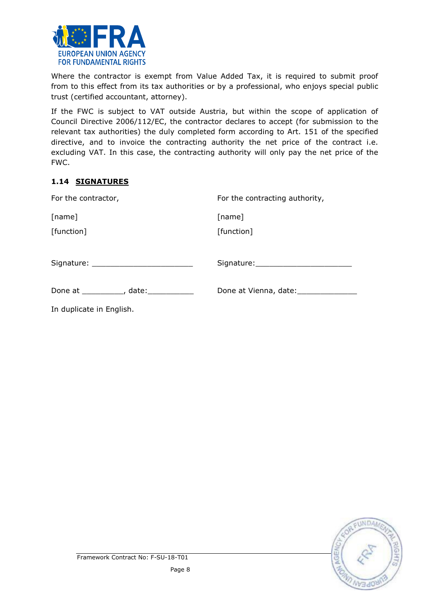

Where the contractor is exempt from Value Added Tax, it is required to submit proof from to this effect from its tax authorities or by a professional, who enjoys special public trust (certified accountant, attorney).

If the FWC is subject to VAT outside Austria, but within the scope of application of Council Directive 2006/112/EC, the contractor declares to accept (for submission to the relevant tax authorities) the duly completed form according to Art. 151 of the specified directive, and to invoice the contracting authority the net price of the contract i.e. excluding VAT. In this case, the contracting authority will only pay the net price of the FWC.

# 1.14 SIGNATURES

| For the contractor,                      | For the contracting authority, |
|------------------------------------------|--------------------------------|
| [name]                                   | [name]                         |
| [function]                               | [function]                     |
|                                          |                                |
| Done at ____________, date: ____________ |                                |
| In duplicate in English.                 |                                |

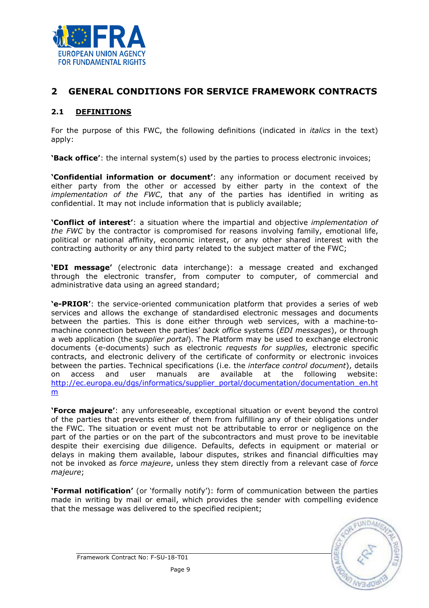

# 2 GENERAL CONDITIONS FOR SERVICE FRAMEWORK CONTRACTS

# 2.1 DEFINITIONS

For the purpose of this FWC, the following definitions (indicated in *italics* in the text) apply:

**'Back office'**: the internal system(s) used by the parties to process electronic invoices;

'Confidential information or document': any information or document received by either party from the other or accessed by either party in the context of the *implementation of the FWC*, that any of the parties has identified in writing as confidential. It may not include information that is publicly available;

**'Conflict of interest'**: a situation where the impartial and objective *implementation of* the FWC by the contractor is compromised for reasons involving family, emotional life, political or national affinity, economic interest, or any other shared interest with the contracting authority or any third party related to the subject matter of the FWC;

'EDI message' (electronic data interchange): a message created and exchanged through the electronic transfer, from computer to computer, of commercial and administrative data using an agreed standard;

'e-PRIOR': the service-oriented communication platform that provides a series of web services and allows the exchange of standardised electronic messages and documents between the parties. This is done either through web services, with a machine-tomachine connection between the parties' back office systems (EDI messages), or through a web application (the supplier portal). The Platform may be used to exchange electronic documents (e-documents) such as electronic requests for supplies, electronic specific contracts, and electronic delivery of the certificate of conformity or electronic invoices between the parties. Technical specifications (i.e. the *interface control document*), details on access and user manuals are available at the following website: http://ec.europa.eu/dgs/informatics/supplier\_portal/documentation/documentation\_en.ht m

'Force majeure': any unforeseeable, exceptional situation or event beyond the control of the parties that prevents either of them from fulfilling any of their obligations under the FWC. The situation or event must not be attributable to error or negligence on the part of the parties or on the part of the subcontractors and must prove to be inevitable despite their exercising due diligence. Defaults, defects in equipment or material or delays in making them available, labour disputes, strikes and financial difficulties may not be invoked as force majeure, unless they stem directly from a relevant case of force majeure;

'Formal notification' (or 'formally notify'): form of communication between the parties made in writing by mail or email, which provides the sender with compelling evidence that the message was delivered to the specified recipient;

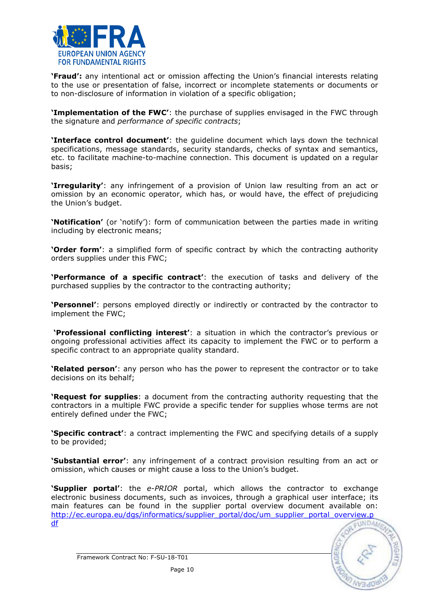

'Fraud': any intentional act or omission affecting the Union's financial interests relating to the use or presentation of false, incorrect or incomplete statements or documents or to non-disclosure of information in violation of a specific obligation;

**'Implementation of the FWC'**: the purchase of supplies envisaged in the FWC through the signature and performance of specific contracts;

'Interface control document': the guideline document which lays down the technical specifications, message standards, security standards, checks of syntax and semantics, etc. to facilitate machine-to-machine connection. This document is updated on a regular basis;

'Irregularity': any infringement of a provision of Union law resulting from an act or omission by an economic operator, which has, or would have, the effect of prejudicing the Union's budget.

'Notification' (or 'notify'): form of communication between the parties made in writing including by electronic means;

**'Order form'**: a simplified form of specific contract by which the contracting authority orders supplies under this FWC;

'Performance of a specific contract': the execution of tasks and delivery of the purchased supplies by the contractor to the contracting authority;

'Personnel': persons employed directly or indirectly or contracted by the contractor to implement the FWC;

 'Professional conflicting interest': a situation in which the contractor's previous or ongoing professional activities affect its capacity to implement the FWC or to perform a specific contract to an appropriate quality standard.

**'Related person'**: any person who has the power to represent the contractor or to take decisions on its behalf;

**'Request for supplies**: a document from the contracting authority requesting that the contractors in a multiple FWC provide a specific tender for supplies whose terms are not entirely defined under the FWC;

**'Specific contract'**: a contract implementing the FWC and specifying details of a supply to be provided;

**'Substantial error'**: any infringement of a contract provision resulting from an act or omission, which causes or might cause a loss to the Union's budget.

**'Supplier portal'**: the e-PRIOR portal, which allows the contractor to exchange electronic business documents, such as invoices, through a graphical user interface; its main features can be found in the supplier portal overview document available on: http://ec.europa.eu/dgs/informatics/supplier\_portal/doc/um\_supplier\_portal\_overview.p<br>df df



Framework Contract No: F-SU-18-T01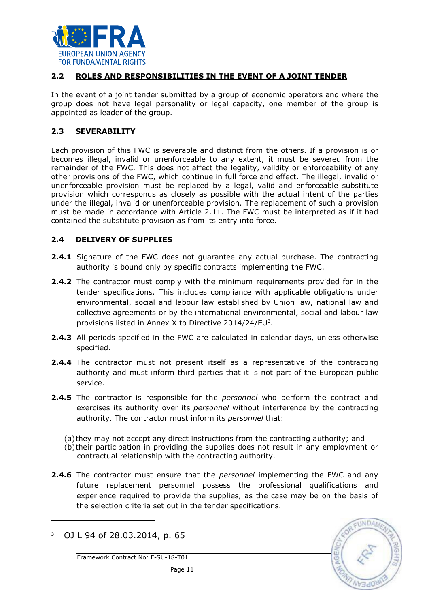

## 2.2 ROLES AND RESPONSIBILITIES IN THE EVENT OF A JOINT TENDER

In the event of a joint tender submitted by a group of economic operators and where the group does not have legal personality or legal capacity, one member of the group is appointed as leader of the group.

### 2.3 SEVERABILITY

Each provision of this FWC is severable and distinct from the others. If a provision is or becomes illegal, invalid or unenforceable to any extent, it must be severed from the remainder of the FWC. This does not affect the legality, validity or enforceability of any other provisions of the FWC, which continue in full force and effect. The illegal, invalid or unenforceable provision must be replaced by a legal, valid and enforceable substitute provision which corresponds as closely as possible with the actual intent of the parties under the illegal, invalid or unenforceable provision. The replacement of such a provision must be made in accordance with Article 2.11. The FWC must be interpreted as if it had contained the substitute provision as from its entry into force.

### 2.4 DELIVERY OF SUPPLIES

- **2.4.1** Signature of the FWC does not quarantee any actual purchase. The contracting authority is bound only by specific contracts implementing the FWC.
- **2.4.2** The contractor must comply with the minimum requirements provided for in the tender specifications. This includes compliance with applicable obligations under environmental, social and labour law established by Union law, national law and collective agreements or by the international environmental, social and labour law provisions listed in Annex X to Directive  $2014/24/EU<sup>3</sup>$ .
- 2.4.3 All periods specified in the FWC are calculated in calendar days, unless otherwise specified.
- 2.4.4 The contractor must not present itself as a representative of the contracting authority and must inform third parties that it is not part of the European public service.
- **2.4.5** The contractor is responsible for the *personnel* who perform the contract and exercises its authority over its *personnel* without interference by the contracting authority. The contractor must inform its personnel that:
	- (a)they may not accept any direct instructions from the contracting authority; and
	- (b)their participation in providing the supplies does not result in any employment or contractual relationship with the contracting authority.
- **2.4.6** The contractor must ensure that the *personnel* implementing the FWC and any future replacement personnel possess the professional qualifications and experience required to provide the supplies, as the case may be on the basis of the selection criteria set out in the tender specifications.

l



<sup>3</sup> OJ L 94 of 28.03.2014, p. 65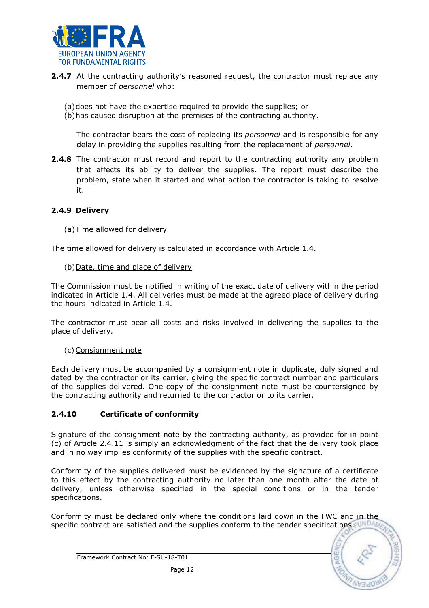

- **2.4.7** At the contracting authority's reasoned request, the contractor must replace any member of personnel who:
	- (a)does not have the expertise required to provide the supplies; or
	- (b)has caused disruption at the premises of the contracting authority.

The contractor bears the cost of replacing its *personnel* and is responsible for any delay in providing the supplies resulting from the replacement of *personnel*.

**2.4.8** The contractor must record and report to the contracting authority any problem that affects its ability to deliver the supplies. The report must describe the problem, state when it started and what action the contractor is taking to resolve it.

### 2.4.9 Delivery

### (a)Time allowed for delivery

The time allowed for delivery is calculated in accordance with Article 1.4.

#### (b)Date, time and place of delivery

The Commission must be notified in writing of the exact date of delivery within the period indicated in Article 1.4. All deliveries must be made at the agreed place of delivery during the hours indicated in Article 1.4.

The contractor must bear all costs and risks involved in delivering the supplies to the place of delivery.

(c) Consignment note

Each delivery must be accompanied by a consignment note in duplicate, duly signed and dated by the contractor or its carrier, giving the specific contract number and particulars of the supplies delivered. One copy of the consignment note must be countersigned by the contracting authority and returned to the contractor or to its carrier.

### 2.4.10 Certificate of conformity

Signature of the consignment note by the contracting authority, as provided for in point (c) of Article 2.4.11 is simply an acknowledgment of the fact that the delivery took place and in no way implies conformity of the supplies with the specific contract.

Conformity of the supplies delivered must be evidenced by the signature of a certificate to this effect by the contracting authority no later than one month after the date of delivery, unless otherwise specified in the special conditions or in the tender specifications.

Conformity must be declared only where the conditions laid down in the FWC and in the specific contract are satisfied and the supplies conform to the tender specifications.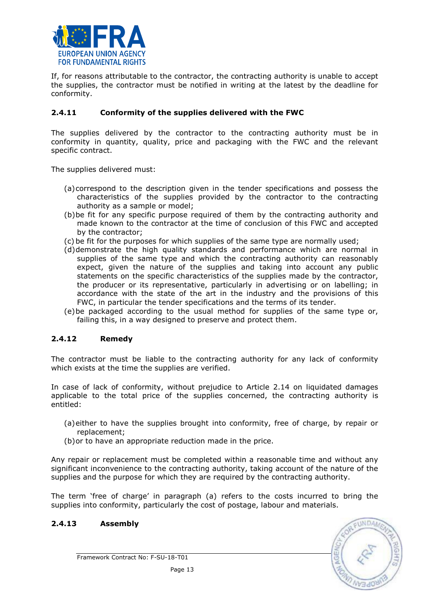

If, for reasons attributable to the contractor, the contracting authority is unable to accept the supplies, the contractor must be notified in writing at the latest by the deadline for conformity.

## 2.4.11 Conformity of the supplies delivered with the FWC

The supplies delivered by the contractor to the contracting authority must be in conformity in quantity, quality, price and packaging with the FWC and the relevant specific contract.

The supplies delivered must:

- (a)correspond to the description given in the tender specifications and possess the characteristics of the supplies provided by the contractor to the contracting authority as a sample or model;
- (b)be fit for any specific purpose required of them by the contracting authority and made known to the contractor at the time of conclusion of this FWC and accepted by the contractor;
- (c) be fit for the purposes for which supplies of the same type are normally used;
- (d)demonstrate the high quality standards and performance which are normal in supplies of the same type and which the contracting authority can reasonably expect, given the nature of the supplies and taking into account any public statements on the specific characteristics of the supplies made by the contractor, the producer or its representative, particularly in advertising or on labelling; in accordance with the state of the art in the industry and the provisions of this FWC, in particular the tender specifications and the terms of its tender.
- (e)be packaged according to the usual method for supplies of the same type or, failing this, in a way designed to preserve and protect them.

#### 2.4.12 Remedy

The contractor must be liable to the contracting authority for any lack of conformity which exists at the time the supplies are verified.

In case of lack of conformity, without prejudice to Article 2.14 on liquidated damages applicable to the total price of the supplies concerned, the contracting authority is entitled:

- (a)either to have the supplies brought into conformity, free of charge, by repair or replacement;
- (b)or to have an appropriate reduction made in the price.

Any repair or replacement must be completed within a reasonable time and without any significant inconvenience to the contracting authority, taking account of the nature of the supplies and the purpose for which they are required by the contracting authority.

The term 'free of charge' in paragraph (a) refers to the costs incurred to bring the supplies into conformity, particularly the cost of postage, labour and materials.

### 2.4.13 Assembly

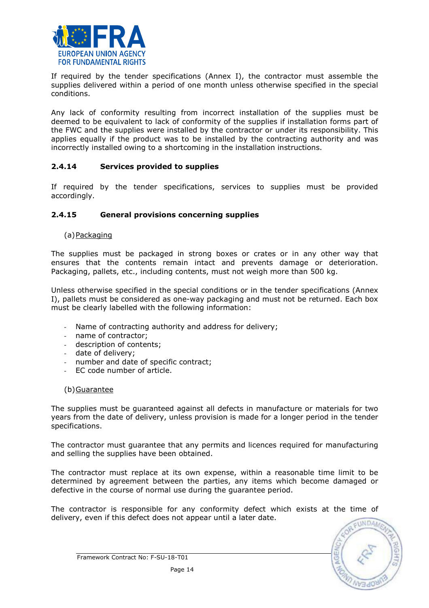

If required by the tender specifications (Annex I), the contractor must assemble the supplies delivered within a period of one month unless otherwise specified in the special conditions.

Any lack of conformity resulting from incorrect installation of the supplies must be deemed to be equivalent to lack of conformity of the supplies if installation forms part of the FWC and the supplies were installed by the contractor or under its responsibility. This applies equally if the product was to be installed by the contracting authority and was incorrectly installed owing to a shortcoming in the installation instructions.

### 2.4.14 Services provided to supplies

If required by the tender specifications, services to supplies must be provided accordingly.

### 2.4.15 General provisions concerning supplies

(a)Packaging

The supplies must be packaged in strong boxes or crates or in any other way that ensures that the contents remain intact and prevents damage or deterioration. Packaging, pallets, etc., including contents, must not weigh more than 500 kg.

Unless otherwise specified in the special conditions or in the tender specifications (Annex I), pallets must be considered as one-way packaging and must not be returned. Each box must be clearly labelled with the following information:

- Name of contracting authority and address for delivery;
- name of contractor;
- description of contents;
- date of delivery;
- number and date of specific contract;
- EC code number of article.

#### (b)Guarantee

The supplies must be guaranteed against all defects in manufacture or materials for two years from the date of delivery, unless provision is made for a longer period in the tender specifications.

The contractor must guarantee that any permits and licences required for manufacturing and selling the supplies have been obtained.

The contractor must replace at its own expense, within a reasonable time limit to be determined by agreement between the parties, any items which become damaged or defective in the course of normal use during the guarantee period.

The contractor is responsible for any conformity defect which exists at the time of delivery, even if this defect does not appear until a later date.

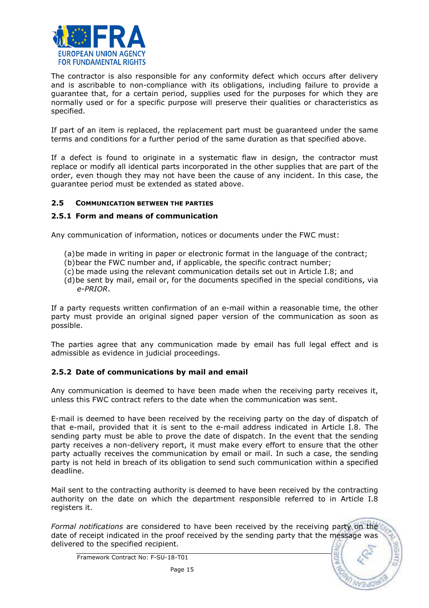

The contractor is also responsible for any conformity defect which occurs after delivery and is ascribable to non-compliance with its obligations, including failure to provide a guarantee that, for a certain period, supplies used for the purposes for which they are normally used or for a specific purpose will preserve their qualities or characteristics as specified.

If part of an item is replaced, the replacement part must be guaranteed under the same terms and conditions for a further period of the same duration as that specified above.

If a defect is found to originate in a systematic flaw in design, the contractor must replace or modify all identical parts incorporated in the other supplies that are part of the order, even though they may not have been the cause of any incident. In this case, the guarantee period must be extended as stated above.

#### 2.5 COMMUNICATION BETWEEN THE PARTIES

#### 2.5.1 Form and means of communication

Any communication of information, notices or documents under the FWC must:

- (a)be made in writing in paper or electronic format in the language of the contract;
- (b)bear the FWC number and, if applicable, the specific contract number;
- (c) be made using the relevant communication details set out in Article I.8; and
- (d)be sent by mail, email or, for the documents specified in the special conditions, via e-PRIOR.

If a party requests written confirmation of an e-mail within a reasonable time, the other party must provide an original signed paper version of the communication as soon as possible.

The parties agree that any communication made by email has full legal effect and is admissible as evidence in judicial proceedings.

### 2.5.2 Date of communications by mail and email

Any communication is deemed to have been made when the receiving party receives it, unless this FWC contract refers to the date when the communication was sent.

E-mail is deemed to have been received by the receiving party on the day of dispatch of that e-mail, provided that it is sent to the e-mail address indicated in Article I.8. The sending party must be able to prove the date of dispatch. In the event that the sending party receives a non-delivery report, it must make every effort to ensure that the other party actually receives the communication by email or mail. In such a case, the sending party is not held in breach of its obligation to send such communication within a specified deadline.

Mail sent to the contracting authority is deemed to have been received by the contracting authority on the date on which the department responsible referred to in Article I.8 registers it.

Formal notifications are considered to have been received by the receiving party on the date of receipt indicated in the proof received by the sending party that the message was delivered to the specified recipient.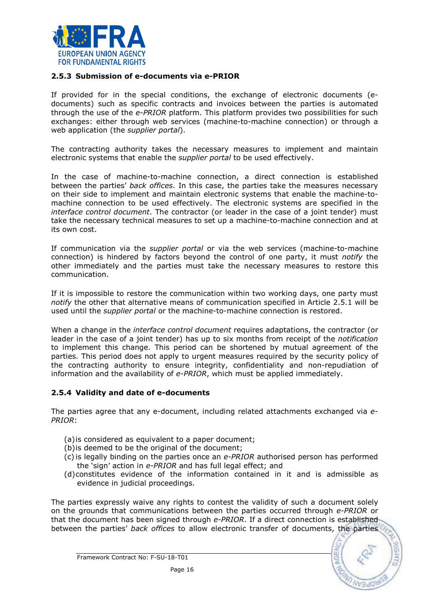

#### 2.5.3 Submission of e-documents via e-PRIOR

If provided for in the special conditions, the exchange of electronic documents (edocuments) such as specific contracts and invoices between the parties is automated through the use of the e-PRIOR platform. This platform provides two possibilities for such exchanges: either through web services (machine-to-machine connection) or through a web application (the *supplier portal*).

The contracting authority takes the necessary measures to implement and maintain electronic systems that enable the *supplier portal* to be used effectively.

In the case of machine-to-machine connection, a direct connection is established between the parties' back offices. In this case, the parties take the measures necessary on their side to implement and maintain electronic systems that enable the machine-tomachine connection to be used effectively. The electronic systems are specified in the interface control document. The contractor (or leader in the case of a joint tender) must take the necessary technical measures to set up a machine-to-machine connection and at its own cost.

If communication via the *supplier portal* or via the web services (machine-to-machine connection) is hindered by factors beyond the control of one party, it must *notify* the other immediately and the parties must take the necessary measures to restore this communication.

If it is impossible to restore the communication within two working days, one party must notify the other that alternative means of communication specified in Article 2.5.1 will be used until the *supplier portal* or the machine-to-machine connection is restored.

When a change in the *interface control document* requires adaptations, the contractor (or leader in the case of a joint tender) has up to six months from receipt of the notification to implement this change. This period can be shortened by mutual agreement of the parties. This period does not apply to urgent measures required by the security policy of the contracting authority to ensure integrity, confidentiality and non-repudiation of information and the availability of e-PRIOR, which must be applied immediately.

#### 2.5.4 Validity and date of e-documents

The parties agree that any e-document, including related attachments exchanged via e-PRIOR:

- (a)is considered as equivalent to a paper document;
- (b)is deemed to be the original of the document;
- (c) is legally binding on the parties once an e-PRIOR authorised person has performed the 'sign' action in e-PRIOR and has full legal effect; and
- (d)constitutes evidence of the information contained in it and is admissible as evidence in judicial proceedings.

The parties expressly waive any rights to contest the validity of such a document solely on the grounds that communications between the parties occurred through e-PRIOR or that the document has been signed through e-PRIOR. If a direct connection is established between the parties' back offices to allow electronic transfer of documents, the parties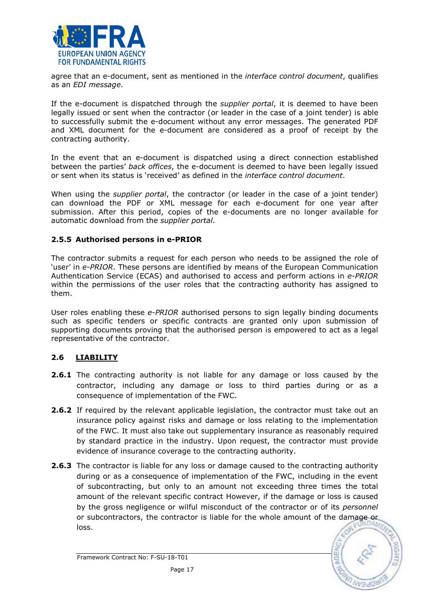

agree that an e-document, sent as mentioned in the *interface control document*, qualifies as an EDI message.

If the e-document is dispatched through the *supplier portal*, it is deemed to have been legally issued or sent when the contractor (or leader in the case of a joint tender) is able to successfully submit the e-document without any error messages. The generated PDF and XML document for the e-document are considered as a proof of receipt by the contracting authority.

In the event that an e-document is dispatched using a direct connection established between the parties' back offices, the e-document is deemed to have been legally issued or sent when its status is 'received' as defined in the interface control document.

When using the *supplier portal*, the contractor (or leader in the case of a joint tender) can download the PDF or XML message for each e-document for one year after submission. After this period, copies of the e-documents are no longer available for automatic download from the supplier portal.

### 2.5.5 Authorised persons in e-PRIOR

The contractor submits a request for each person who needs to be assigned the role of 'user' in e-PRIOR. These persons are identified by means of the European Communication Authentication Service (ECAS) and authorised to access and perform actions in e-PRIOR within the permissions of the user roles that the contracting authority has assigned to them.

User roles enabling these e-PRIOR authorised persons to sign legally binding documents such as specific tenders or specific contracts are granted only upon submission of supporting documents proving that the authorised person is empowered to act as a legal representative of the contractor.

# 2.6 LIABILITY

- **2.6.1** The contracting authority is not liable for any damage or loss caused by the contractor, including any damage or loss to third parties during or as a consequence of implementation of the FWC.
- 2.6.2 If required by the relevant applicable legislation, the contractor must take out an insurance policy against risks and damage or loss relating to the implementation of the FWC. It must also take out supplementary insurance as reasonably required by standard practice in the industry. Upon request, the contractor must provide evidence of insurance coverage to the contracting authority.
- **2.6.3** The contractor is liable for any loss or damage caused to the contracting authority during or as a consequence of implementation of the FWC, including in the event of subcontracting, but only to an amount not exceeding three times the total amount of the relevant specific contract However, if the damage or loss is caused by the gross negligence or wilful misconduct of the contractor or of its *personnel* or subcontractors, the contractor is liable for the whole amount of the damage or loss.

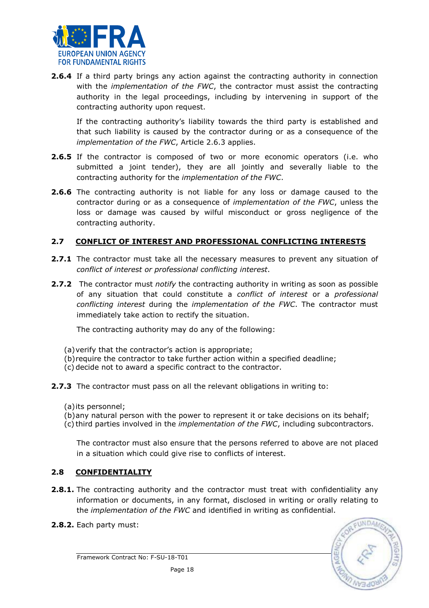

**2.6.4** If a third party brings any action against the contracting authority in connection with the *implementation of the FWC*, the contractor must assist the contracting authority in the legal proceedings, including by intervening in support of the contracting authority upon request.

If the contracting authority's liability towards the third party is established and that such liability is caused by the contractor during or as a consequence of the implementation of the FWC, Article 2.6.3 applies.

- 2.6.5 If the contractor is composed of two or more economic operators (i.e. who submitted a joint tender), they are all jointly and severally liable to the contracting authority for the implementation of the FWC.
- **2.6.6** The contracting authority is not liable for any loss or damage caused to the contractor during or as a consequence of implementation of the FWC, unless the loss or damage was caused by wilful misconduct or gross negligence of the contracting authority.

### 2.7 CONFLICT OF INTEREST AND PROFESSIONAL CONFLICTING INTERESTS

- **2.7.1** The contractor must take all the necessary measures to prevent any situation of conflict of interest or professional conflicting interest.
- **2.7.2** The contractor must *notify* the contracting authority in writing as soon as possible of any situation that could constitute a *conflict of interest* or a *professional* conflicting interest during the implementation of the FWC. The contractor must immediately take action to rectify the situation.

The contracting authority may do any of the following:

- (a)verify that the contractor's action is appropriate;
- (b)require the contractor to take further action within a specified deadline;
- (c) decide not to award a specific contract to the contractor.
- 2.7.3 The contractor must pass on all the relevant obligations in writing to:
	- (a)its personnel;
	- (b)any natural person with the power to represent it or take decisions on its behalf;
	- (c) third parties involved in the implementation of the FWC, including subcontractors.

The contractor must also ensure that the persons referred to above are not placed in a situation which could give rise to conflicts of interest.

# 2.8 CONFIDENTIALITY

- **2.8.1.** The contracting authority and the contractor must treat with confidentiality any information or documents, in any format, disclosed in writing or orally relating to the implementation of the FWC and identified in writing as confidential.
- 2.8.2. Each party must:

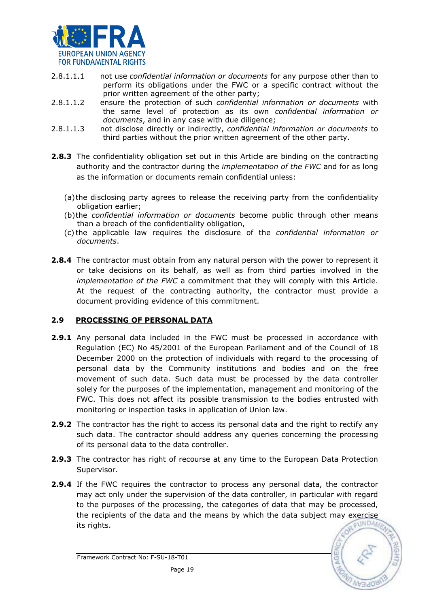

- 2.8.1.1.1 ont use *confidential information or documents* for any purpose other than to perform its obligations under the FWC or a specific contract without the prior written agreement of the other party;
- 2.8.1.1.2 ensure the protection of such confidential information or documents with the same level of protection as its own confidential information or documents, and in any case with due diligence;
- 2.8.1.1.3 not disclose directly or indirectly, confidential information or documents to third parties without the prior written agreement of the other party.
- **2.8.3** The confidentiality obligation set out in this Article are binding on the contracting authority and the contractor during the *implementation of the FWC* and for as long as the information or documents remain confidential unless:
	- (a)the disclosing party agrees to release the receiving party from the confidentiality obligation earlier;
	- (b)the confidential information or documents become public through other means than a breach of the confidentiality obligation,
	- (c) the applicable law requires the disclosure of the confidential information or documents.
- **2.8.4** The contractor must obtain from any natural person with the power to represent it or take decisions on its behalf, as well as from third parties involved in the implementation of the FWC a commitment that they will comply with this Article. At the request of the contracting authority, the contractor must provide a document providing evidence of this commitment.

# 2.9 PROCESSING OF PERSONAL DATA

- **2.9.1** Any personal data included in the FWC must be processed in accordance with Regulation (EC) No 45/2001 of the European Parliament and of the Council of 18 December 2000 on the protection of individuals with regard to the processing of personal data by the Community institutions and bodies and on the free movement of such data. Such data must be processed by the data controller solely for the purposes of the implementation, management and monitoring of the FWC. This does not affect its possible transmission to the bodies entrusted with monitoring or inspection tasks in application of Union law.
- **2.9.2** The contractor has the right to access its personal data and the right to rectify any such data. The contractor should address any queries concerning the processing of its personal data to the data controller.
- 2.9.3 The contractor has right of recourse at any time to the European Data Protection Supervisor.
- **2.9.4** If the FWC requires the contractor to process any personal data, the contractor may act only under the supervision of the data controller, in particular with regard to the purposes of the processing, the categories of data that may be processed, the recipients of the data and the means by which the data subject may exercise **UNDAN** its rights.

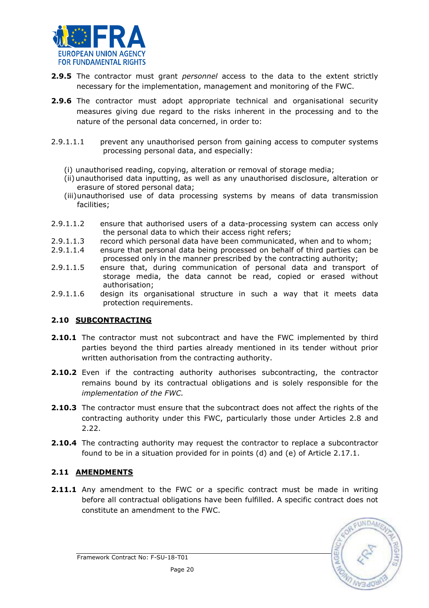

- **2.9.5** The contractor must grant *personnel* access to the data to the extent strictly necessary for the implementation, management and monitoring of the FWC.
- **2.9.6** The contractor must adopt appropriate technical and organisational security measures giving due regard to the risks inherent in the processing and to the nature of the personal data concerned, in order to:
- 2.9.1.1.1 prevent any unauthorised person from gaining access to computer systems processing personal data, and especially:
	- (i) unauthorised reading, copying, alteration or removal of storage media;
	- (ii)unauthorised data inputting, as well as any unauthorised disclosure, alteration or erasure of stored personal data;
	- (iii)unauthorised use of data processing systems by means of data transmission facilities;
- 2.9.1.1.2 ensure that authorised users of a data-processing system can access only the personal data to which their access right refers;
- 2.9.1.1.3 record which personal data have been communicated, when and to whom;
- 2.9.1.1.4 ensure that personal data being processed on behalf of third parties can be processed only in the manner prescribed by the contracting authority;
- 2.9.1.1.5 ensure that, during communication of personal data and transport of storage media, the data cannot be read, copied or erased without authorisation;
- 2.9.1.1.6 design its organisational structure in such a way that it meets data protection requirements.

### 2.10 SUBCONTRACTING

- **2.10.1** The contractor must not subcontract and have the FWC implemented by third parties beyond the third parties already mentioned in its tender without prior written authorisation from the contracting authority.
- **2.10.2** Even if the contracting authority authorises subcontracting, the contractor remains bound by its contractual obligations and is solely responsible for the implementation of the FWC.
- 2.10.3 The contractor must ensure that the subcontract does not affect the rights of the contracting authority under this FWC, particularly those under Articles 2.8 and 2.22.
- **2.10.4** The contracting authority may request the contractor to replace a subcontractor found to be in a situation provided for in points (d) and (e) of Article 2.17.1.

# 2.11 AMENDMENTS

2.11.1 Any amendment to the FWC or a specific contract must be made in writing before all contractual obligations have been fulfilled. A specific contract does not constitute an amendment to the FWC.

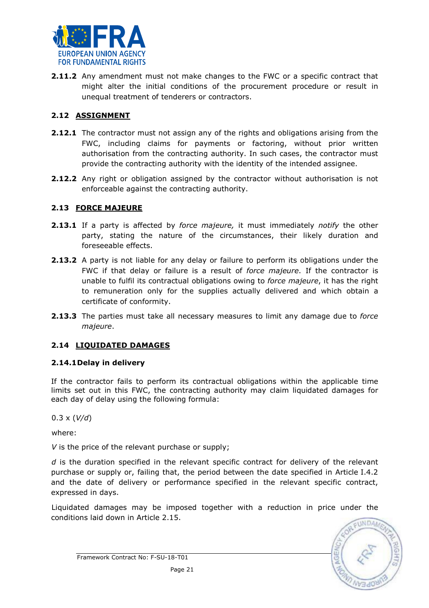

**2.11.2** Any amendment must not make changes to the FWC or a specific contract that might alter the initial conditions of the procurement procedure or result in unequal treatment of tenderers or contractors.

# 2.12 ASSIGNMENT

- **2.12.1** The contractor must not assign any of the rights and obligations arising from the FWC, including claims for payments or factoring, without prior written authorisation from the contracting authority. In such cases, the contractor must provide the contracting authority with the identity of the intended assignee.
- **2.12.2** Any right or obligation assigned by the contractor without authorisation is not enforceable against the contracting authority.

# 2.13 FORCE MAJEURE

- 2.13.1 If a party is affected by force majeure, it must immediately notify the other party, stating the nature of the circumstances, their likely duration and foreseeable effects.
- 2.13.2 A party is not liable for any delay or failure to perform its obligations under the FWC if that delay or failure is a result of force majeure. If the contractor is unable to fulfil its contractual obligations owing to force majeure, it has the right to remuneration only for the supplies actually delivered and which obtain a certificate of conformity.
- **2.13.3** The parties must take all necessary measures to limit any damage due to force majeure.

# 2.14 LIQUIDATED DAMAGES

### 2.14.1Delay in delivery

If the contractor fails to perform its contractual obligations within the applicable time limits set out in this FWC, the contracting authority may claim liquidated damages for each day of delay using the following formula:

 $0.3 \times (V/d)$ 

where:

V is the price of the relevant purchase or supply;

 $d$  is the duration specified in the relevant specific contract for delivery of the relevant purchase or supply or, failing that, the period between the date specified in Article I.4.2 and the date of delivery or performance specified in the relevant specific contract, expressed in days.

Liquidated damages may be imposed together with a reduction in price under the conditions laid down in Article 2.15.

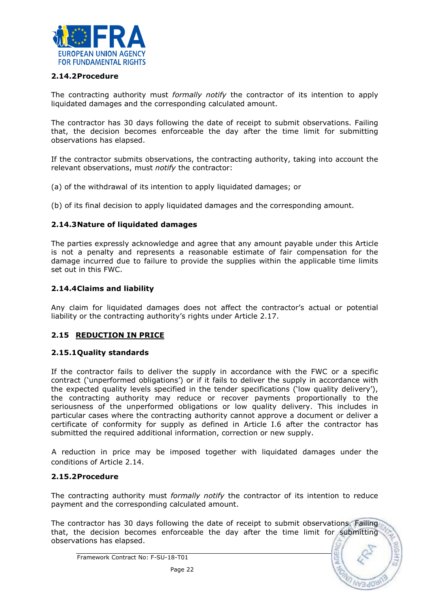

### 2.14.2Procedure

The contracting authority must *formally notify* the contractor of its intention to apply liquidated damages and the corresponding calculated amount.

The contractor has 30 days following the date of receipt to submit observations. Failing that, the decision becomes enforceable the day after the time limit for submitting observations has elapsed.

If the contractor submits observations, the contracting authority, taking into account the relevant observations, must *notify* the contractor:

(a) of the withdrawal of its intention to apply liquidated damages; or

(b) of its final decision to apply liquidated damages and the corresponding amount.

#### 2.14.3Nature of liquidated damages

The parties expressly acknowledge and agree that any amount payable under this Article is not a penalty and represents a reasonable estimate of fair compensation for the damage incurred due to failure to provide the supplies within the applicable time limits set out in this FWC.

#### 2.14.4Claims and liability

Any claim for liquidated damages does not affect the contractor's actual or potential liability or the contracting authority's rights under Article 2.17.

### 2.15 REDUCTION IN PRICE

#### 2.15.1Quality standards

If the contractor fails to deliver the supply in accordance with the FWC or a specific contract ('unperformed obligations') or if it fails to deliver the supply in accordance with the expected quality levels specified in the tender specifications ('low quality delivery'), the contracting authority may reduce or recover payments proportionally to the seriousness of the unperformed obligations or low quality delivery. This includes in particular cases where the contracting authority cannot approve a document or deliver a certificate of conformity for supply as defined in Article I.6 after the contractor has submitted the required additional information, correction or new supply.

A reduction in price may be imposed together with liquidated damages under the conditions of Article 2.14.

#### 2.15.2Procedure

The contracting authority must *formally notify* the contractor of its intention to reduce payment and the corresponding calculated amount.

The contractor has 30 days following the date of receipt to submit observations. Failing that, the decision becomes enforceable the day after the time limit for submitting observations has elapsed.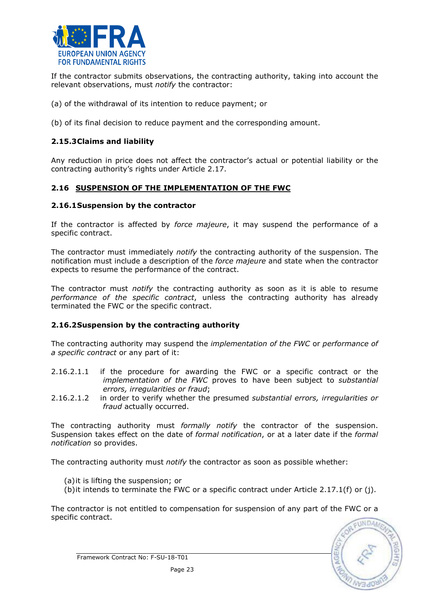

If the contractor submits observations, the contracting authority, taking into account the relevant observations, must notify the contractor:

- (a) of the withdrawal of its intention to reduce payment; or
- (b) of its final decision to reduce payment and the corresponding amount.

### 2.15.3Claims and liability

Any reduction in price does not affect the contractor's actual or potential liability or the contracting authority's rights under Article 2.17.

### 2.16 SUSPENSION OF THE IMPLEMENTATION OF THE FWC

#### 2.16.1Suspension by the contractor

If the contractor is affected by force majeure, it may suspend the performance of a specific contract.

The contractor must immediately notify the contracting authority of the suspension. The notification must include a description of the *force majeure* and state when the contractor expects to resume the performance of the contract.

The contractor must *notify* the contracting authority as soon as it is able to resume performance of the specific contract, unless the contracting authority has already terminated the FWC or the specific contract.

### 2.16.2Suspension by the contracting authority

The contracting authority may suspend the *implementation of the FWC* or *performance of* a specific contract or any part of it:

- 2.16.2.1.1 if the procedure for awarding the FWC or a specific contract or the implementation of the FWC proves to have been subject to substantial errors, irregularities or fraud;
- 2.16.2.1.2 in order to verify whether the presumed substantial errors, irregularities or fraud actually occurred.

The contracting authority must formally notify the contractor of the suspension. Suspension takes effect on the date of formal notification, or at a later date if the formal notification so provides.

The contracting authority must *notify* the contractor as soon as possible whether:

- (a)it is lifting the suspension; or
- (b)it intends to terminate the FWC or a specific contract under Article 2.17.1(f) or (j).

The contractor is not entitled to compensation for suspension of any part of the FWC or a specific contract.

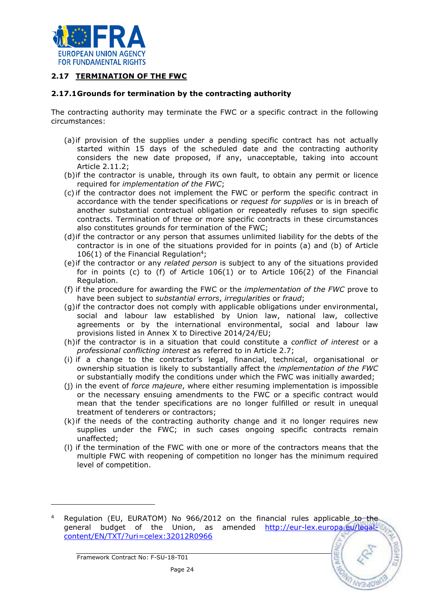

## 2.17 TERMINATION OF THE FWC

#### 2.17.1Grounds for termination by the contracting authority

The contracting authority may terminate the FWC or a specific contract in the following circumstances:

- (a)if provision of the supplies under a pending specific contract has not actually started within 15 days of the scheduled date and the contracting authority considers the new date proposed, if any, unacceptable, taking into account Article 2.11.2;
- (b)if the contractor is unable, through its own fault, to obtain any permit or licence required for implementation of the FWC;
- (c) if the contractor does not implement the FWC or perform the specific contract in accordance with the tender specifications or request for supplies or is in breach of another substantial contractual obligation or repeatedly refuses to sign specific contracts. Termination of three or more specific contracts in these circumstances also constitutes grounds for termination of the FWC;
- (d)if the contractor or any person that assumes unlimited liability for the debts of the contractor is in one of the situations provided for in points (a) and (b) of Article  $106(1)$  of the Financial Regulation<sup>4</sup>;
- (e)if the contractor or any related person is subject to any of the situations provided for in points (c) to (f) of Article 106(1) or to Article 106(2) of the Financial Regulation.
- (f) if the procedure for awarding the FWC or the implementation of the FWC prove to have been subject to substantial errors, irregularities or fraud;
- (g)if the contractor does not comply with applicable obligations under environmental, social and labour law established by Union law, national law, collective agreements or by the international environmental, social and labour law provisions listed in Annex X to Directive 2014/24/EU;
- (h)if the contractor is in a situation that could constitute a *conflict of interest* or a professional conflicting interest as referred to in Article 2.7;
- (i) if a change to the contractor's legal, financial, technical, organisational or ownership situation is likely to substantially affect the *implementation of the FWC* or substantially modify the conditions under which the FWC was initially awarded;
- $(i)$  in the event of *force majeure*, where either resuming implementation is impossible or the necessary ensuing amendments to the FWC or a specific contract would mean that the tender specifications are no longer fulfilled or result in unequal treatment of tenderers or contractors;
- (k)if the needs of the contracting authority change and it no longer requires new supplies under the FWC; in such cases ongoing specific contracts remain unaffected;
- (l) if the termination of the FWC with one or more of the contractors means that the multiple FWC with reopening of competition no longer has the minimum required level of competition.

l

<sup>4</sup> Regulation (EU, EURATOM) No 966/2012 on the financial rules applicable to the general budget of the Union, as amended http://eur-lex.europa.eu/legalcontent/EN/TXT/?uri=celex:32012R0966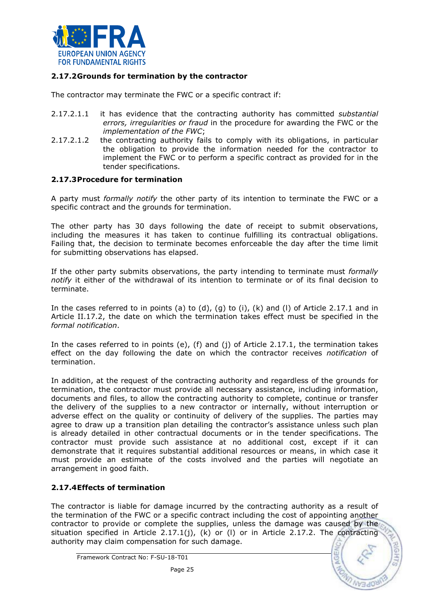

### 2.17.2Grounds for termination by the contractor

The contractor may terminate the FWC or a specific contract if:

- 2.17.2.1.1 it has evidence that the contracting authority has committed *substantial* errors, irregularities or fraud in the procedure for awarding the FWC or the implementation of the FWC;
- 2.17.2.1.2 the contracting authority fails to comply with its obligations, in particular the obligation to provide the information needed for the contractor to implement the FWC or to perform a specific contract as provided for in the tender specifications.

### 2.17.3Procedure for termination

A party must *formally notify* the other party of its intention to terminate the FWC or a specific contract and the grounds for termination.

The other party has 30 days following the date of receipt to submit observations, including the measures it has taken to continue fulfilling its contractual obligations. Failing that, the decision to terminate becomes enforceable the day after the time limit for submitting observations has elapsed.

If the other party submits observations, the party intending to terminate must formally notify it either of the withdrawal of its intention to terminate or of its final decision to terminate.

In the cases referred to in points (a) to (d), (g) to (i), (k) and (l) of Article 2.17.1 and in Article II.17.2, the date on which the termination takes effect must be specified in the formal notification.

In the cases referred to in points (e), (f) and (i) of Article 2.17.1, the termination takes effect on the day following the date on which the contractor receives notification of termination.

In addition, at the request of the contracting authority and regardless of the grounds for termination, the contractor must provide all necessary assistance, including information, documents and files, to allow the contracting authority to complete, continue or transfer the delivery of the supplies to a new contractor or internally, without interruption or adverse effect on the quality or continuity of delivery of the supplies. The parties may agree to draw up a transition plan detailing the contractor's assistance unless such plan is already detailed in other contractual documents or in the tender specifications. The contractor must provide such assistance at no additional cost, except if it can demonstrate that it requires substantial additional resources or means, in which case it must provide an estimate of the costs involved and the parties will negotiate an arrangement in good faith.

### 2.17.4Effects of termination

The contractor is liable for damage incurred by the contracting authority as a result of the termination of the FWC or a specific contract including the cost of appointing another contractor to provide or complete the supplies, unless the damage was caused by the situation specified in Article 2.17.1(j),  $(k)$  or (I) or in Article 2.17.2. The contracting authority may claim compensation for such damage.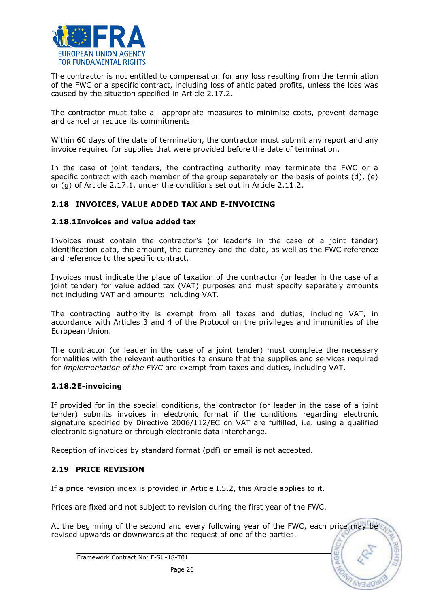

The contractor is not entitled to compensation for any loss resulting from the termination of the FWC or a specific contract, including loss of anticipated profits, unless the loss was caused by the situation specified in Article 2.17.2.

The contractor must take all appropriate measures to minimise costs, prevent damage and cancel or reduce its commitments.

Within 60 days of the date of termination, the contractor must submit any report and any invoice required for supplies that were provided before the date of termination.

In the case of joint tenders, the contracting authority may terminate the FWC or a specific contract with each member of the group separately on the basis of points (d), (e) or (g) of Article 2.17.1, under the conditions set out in Article 2.11.2.

### 2.18 INVOICES, VALUE ADDED TAX AND E-INVOICING

#### 2.18.1Invoices and value added tax

Invoices must contain the contractor's (or leader's in the case of a joint tender) identification data, the amount, the currency and the date, as well as the FWC reference and reference to the specific contract.

Invoices must indicate the place of taxation of the contractor (or leader in the case of a joint tender) for value added tax (VAT) purposes and must specify separately amounts not including VAT and amounts including VAT.

The contracting authority is exempt from all taxes and duties, including VAT, in accordance with Articles 3 and 4 of the Protocol on the privileges and immunities of the European Union.

The contractor (or leader in the case of a joint tender) must complete the necessary formalities with the relevant authorities to ensure that the supplies and services required for implementation of the FWC are exempt from taxes and duties, including VAT.

#### 2.18.2E-invoicing

If provided for in the special conditions, the contractor (or leader in the case of a joint tender) submits invoices in electronic format if the conditions regarding electronic signature specified by Directive 2006/112/EC on VAT are fulfilled, i.e. using a qualified electronic signature or through electronic data interchange.

Reception of invoices by standard format (pdf) or email is not accepted.

### 2.19 PRICE REVISION

If a price revision index is provided in Article I.5.2, this Article applies to it.

Prices are fixed and not subject to revision during the first year of the FWC.

At the beginning of the second and every following year of the FWC, each price may be revised upwards or downwards at the request of one of the parties.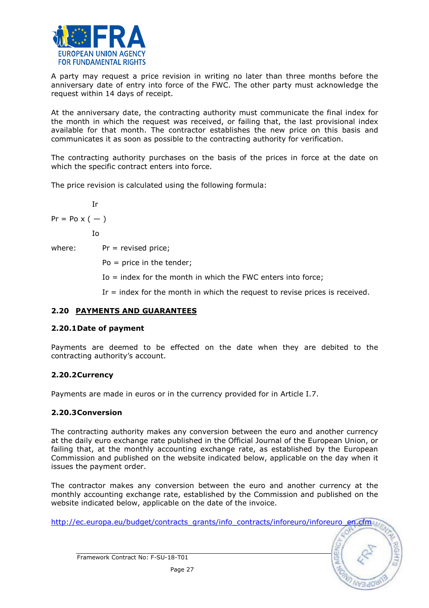

A party may request a price revision in writing no later than three months before the anniversary date of entry into force of the FWC. The other party must acknowledge the request within 14 days of receipt.

At the anniversary date, the contracting authority must communicate the final index for the month in which the request was received, or failing that, the last provisional index available for that month. The contractor establishes the new price on this basis and communicates it as soon as possible to the contracting authority for verification.

The contracting authority purchases on the basis of the prices in force at the date on which the specific contract enters into force.

The price revision is calculated using the following formula:

$$
\mathbf{I}\mathbf{r}
$$

 $Pr = Po \times ( - )$ 

Io

where:  $Pr =$  revised price;

Po = price in the tender;

 $Io = index$  for the month in which the FWC enters into force;

Ir = index for the month in which the request to revise prices is received.

### 2.20 PAYMENTS AND GUARANTEES

### 2.20.1Date of payment

Payments are deemed to be effected on the date when they are debited to the contracting authority's account.

### 2.20.2Currency

Payments are made in euros or in the currency provided for in Article I.7.

### 2.20.3Conversion

The contracting authority makes any conversion between the euro and another currency at the daily euro exchange rate published in the Official Journal of the European Union, or failing that, at the monthly accounting exchange rate, as established by the European Commission and published on the website indicated below, applicable on the day when it issues the payment order.

The contractor makes any conversion between the euro and another currency at the monthly accounting exchange rate, established by the Commission and published on the website indicated below, applicable on the date of the invoice.

http://ec.europa.eu/budget/contracts\_grants/info\_contracts/inforeuro/inforeuro\_en.cfm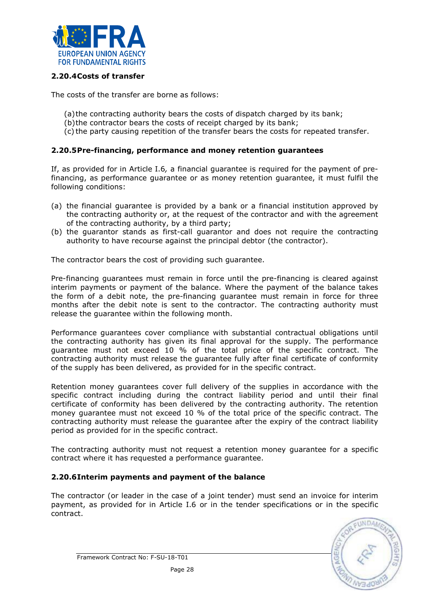

### 2.20.4Costs of transfer

The costs of the transfer are borne as follows:

- (a)the contracting authority bears the costs of dispatch charged by its bank;
- (b)the contractor bears the costs of receipt charged by its bank;
- (c) the party causing repetition of the transfer bears the costs for repeated transfer.

### 2.20.5Pre-financing, performance and money retention guarantees

If, as provided for in Article I.6, a financial guarantee is required for the payment of prefinancing, as performance guarantee or as money retention guarantee, it must fulfil the following conditions:

- (a) the financial guarantee is provided by a bank or a financial institution approved by the contracting authority or, at the request of the contractor and with the agreement of the contracting authority, by a third party;
- (b) the guarantor stands as first-call guarantor and does not require the contracting authority to have recourse against the principal debtor (the contractor).

The contractor bears the cost of providing such guarantee.

Pre-financing guarantees must remain in force until the pre-financing is cleared against interim payments or payment of the balance. Where the payment of the balance takes the form of a debit note, the pre-financing guarantee must remain in force for three months after the debit note is sent to the contractor. The contracting authority must release the guarantee within the following month.

Performance guarantees cover compliance with substantial contractual obligations until the contracting authority has given its final approval for the supply. The performance guarantee must not exceed 10 % of the total price of the specific contract. The contracting authority must release the guarantee fully after final certificate of conformity of the supply has been delivered, as provided for in the specific contract.

Retention money guarantees cover full delivery of the supplies in accordance with the specific contract including during the contract liability period and until their final certificate of conformity has been delivered by the contracting authority. The retention money guarantee must not exceed 10 % of the total price of the specific contract. The contracting authority must release the guarantee after the expiry of the contract liability period as provided for in the specific contract.

The contracting authority must not request a retention money guarantee for a specific contract where it has requested a performance guarantee.

### 2.20.6Interim payments and payment of the balance

The contractor (or leader in the case of a joint tender) must send an invoice for interim payment, as provided for in Article I.6 or in the tender specifications or in the specific contract.

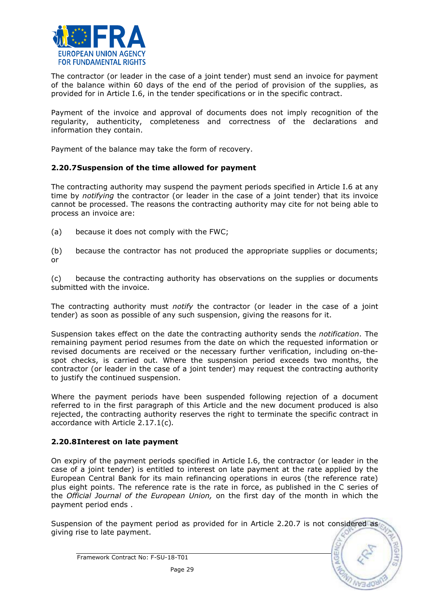

The contractor (or leader in the case of a joint tender) must send an invoice for payment of the balance within 60 days of the end of the period of provision of the supplies, as provided for in Article I.6, in the tender specifications or in the specific contract.

Payment of the invoice and approval of documents does not imply recognition of the regularity, authenticity, completeness and correctness of the declarations and information they contain.

Payment of the balance may take the form of recovery.

#### 2.20.7Suspension of the time allowed for payment

The contracting authority may suspend the payment periods specified in Article I.6 at any time by notifying the contractor (or leader in the case of a joint tender) that its invoice cannot be processed. The reasons the contracting authority may cite for not being able to process an invoice are:

- (a) because it does not comply with the FWC;
- (b) because the contractor has not produced the appropriate supplies or documents; or

(c) because the contracting authority has observations on the supplies or documents submitted with the invoice.

The contracting authority must notify the contractor (or leader in the case of a joint tender) as soon as possible of any such suspension, giving the reasons for it.

Suspension takes effect on the date the contracting authority sends the notification. The remaining payment period resumes from the date on which the requested information or revised documents are received or the necessary further verification, including on-thespot checks, is carried out. Where the suspension period exceeds two months, the contractor (or leader in the case of a joint tender) may request the contracting authority to justify the continued suspension.

Where the payment periods have been suspended following rejection of a document referred to in the first paragraph of this Article and the new document produced is also rejected, the contracting authority reserves the right to terminate the specific contract in accordance with Article 2.17.1(c).

#### 2.20.8Interest on late payment

On expiry of the payment periods specified in Article I.6, the contractor (or leader in the case of a joint tender) is entitled to interest on late payment at the rate applied by the European Central Bank for its main refinancing operations in euros (the reference rate) plus eight points. The reference rate is the rate in force, as published in the C series of the Official Journal of the European Union, on the first day of the month in which the payment period ends .

Suspension of the payment period as provided for in Article 2.20.7 is not considered as giving rise to late payment.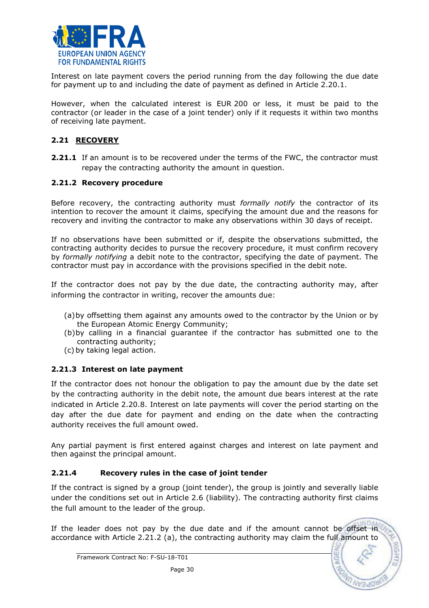

Interest on late payment covers the period running from the day following the due date for payment up to and including the date of payment as defined in Article 2.20.1.

However, when the calculated interest is EUR 200 or less, it must be paid to the contractor (or leader in the case of a joint tender) only if it requests it within two months of receiving late payment.

# 2.21 RECOVERY

**2.21.1** If an amount is to be recovered under the terms of the FWC, the contractor must repay the contracting authority the amount in question.

### 2.21.2 Recovery procedure

Before recovery, the contracting authority must formally notify the contractor of its intention to recover the amount it claims, specifying the amount due and the reasons for recovery and inviting the contractor to make any observations within 30 days of receipt.

If no observations have been submitted or if, despite the observations submitted, the contracting authority decides to pursue the recovery procedure, it must confirm recovery by formally notifying a debit note to the contractor, specifying the date of payment. The contractor must pay in accordance with the provisions specified in the debit note.

If the contractor does not pay by the due date, the contracting authority may, after informing the contractor in writing, recover the amounts due:

- (a)by offsetting them against any amounts owed to the contractor by the Union or by the European Atomic Energy Community;
- (b)by calling in a financial guarantee if the contractor has submitted one to the contracting authority;
- (c) by taking legal action.

# 2.21.3 Interest on late payment

If the contractor does not honour the obligation to pay the amount due by the date set by the contracting authority in the debit note, the amount due bears interest at the rate indicated in Article 2.20.8. Interest on late payments will cover the period starting on the day after the due date for payment and ending on the date when the contracting authority receives the full amount owed.

Any partial payment is first entered against charges and interest on late payment and then against the principal amount.

# 2.21.4 Recovery rules in the case of joint tender

If the contract is signed by a group (joint tender), the group is jointly and severally liable under the conditions set out in Article 2.6 (liability). The contracting authority first claims the full amount to the leader of the group.

If the leader does not pay by the due date and if the amount cannot be offset in accordance with Article 2.21.2 (a), the contracting authority may claim the full amount to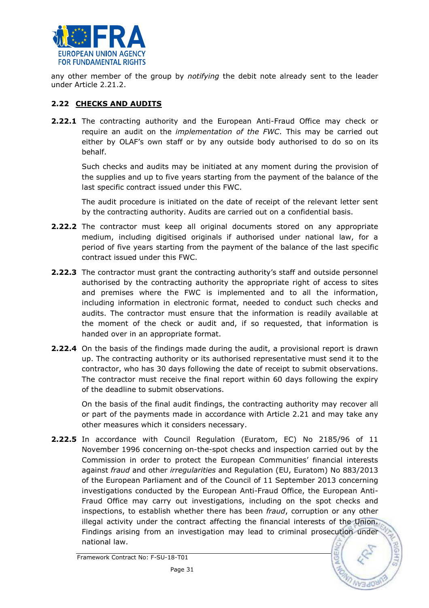

any other member of the group by *notifying* the debit note already sent to the leader under Article 2.21.2.

## 2.22 CHECKS AND AUDITS

**2.22.1** The contracting authority and the European Anti-Fraud Office may check or require an audit on the *implementation of the FWC*. This may be carried out either by OLAF's own staff or by any outside body authorised to do so on its behalf.

Such checks and audits may be initiated at any moment during the provision of the supplies and up to five years starting from the payment of the balance of the last specific contract issued under this FWC.

The audit procedure is initiated on the date of receipt of the relevant letter sent by the contracting authority. Audits are carried out on a confidential basis.

- **2.22.2** The contractor must keep all original documents stored on any appropriate medium, including digitised originals if authorised under national law, for a period of five years starting from the payment of the balance of the last specific contract issued under this FWC.
- 2.22.3 The contractor must grant the contracting authority's staff and outside personnel authorised by the contracting authority the appropriate right of access to sites and premises where the FWC is implemented and to all the information, including information in electronic format, needed to conduct such checks and audits. The contractor must ensure that the information is readily available at the moment of the check or audit and, if so requested, that information is handed over in an appropriate format.
- **2.22.4** On the basis of the findings made during the audit, a provisional report is drawn up. The contracting authority or its authorised representative must send it to the contractor, who has 30 days following the date of receipt to submit observations. The contractor must receive the final report within 60 days following the expiry of the deadline to submit observations.

On the basis of the final audit findings, the contracting authority may recover all or part of the payments made in accordance with Article 2.21 and may take any other measures which it considers necessary.

2.22.5 In accordance with Council Regulation (Euratom, EC) No 2185/96 of 11 November 1996 concerning on-the-spot checks and inspection carried out by the Commission in order to protect the European Communities' financial interests against fraud and other irregularities and Regulation (EU, Euratom) No 883/2013 of the European Parliament and of the Council of 11 September 2013 concerning investigations conducted by the European Anti-Fraud Office, the European Anti-Fraud Office may carry out investigations, including on the spot checks and inspections, to establish whether there has been fraud, corruption or any other illegal activity under the contract affecting the financial interests of the Union. Findings arising from an investigation may lead to criminal prosecution under national law.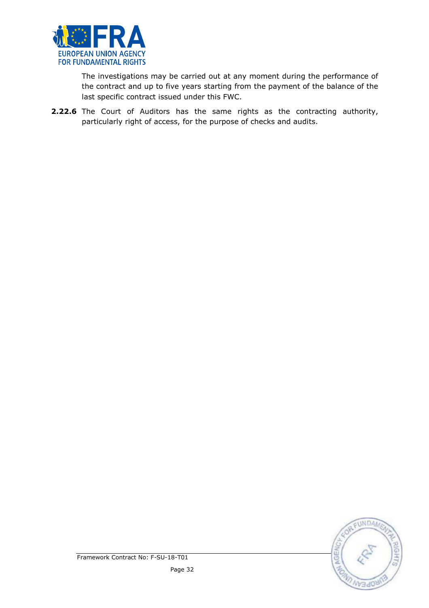

 The investigations may be carried out at any moment during the performance of the contract and up to five years starting from the payment of the balance of the last specific contract issued under this FWC.

2.22.6 The Court of Auditors has the same rights as the contracting authority, particularly right of access, for the purpose of checks and audits.

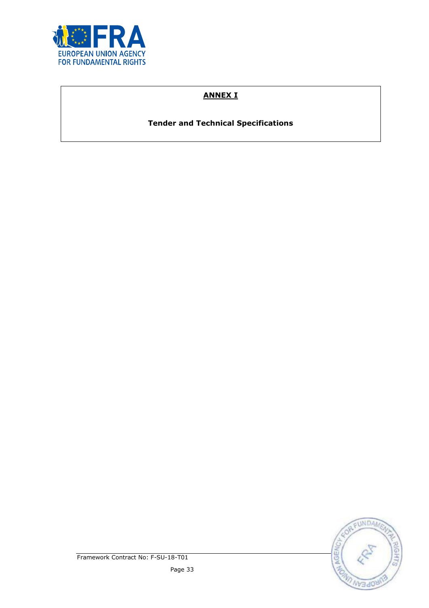

# ANNEX I

Tender and Technical Specifications

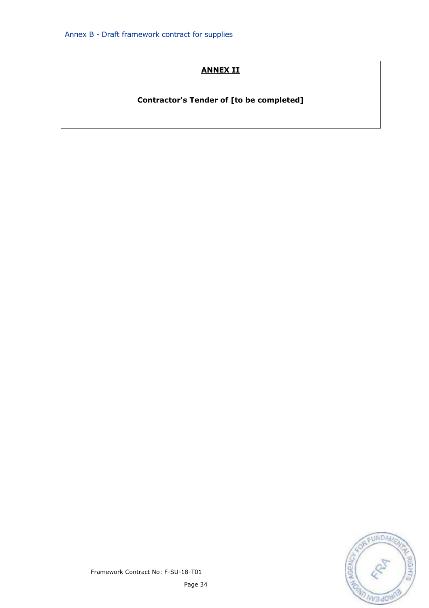# ANNEX II

Contractor's Tender of [to be completed]



Framework Contract No: F-SU-18-T01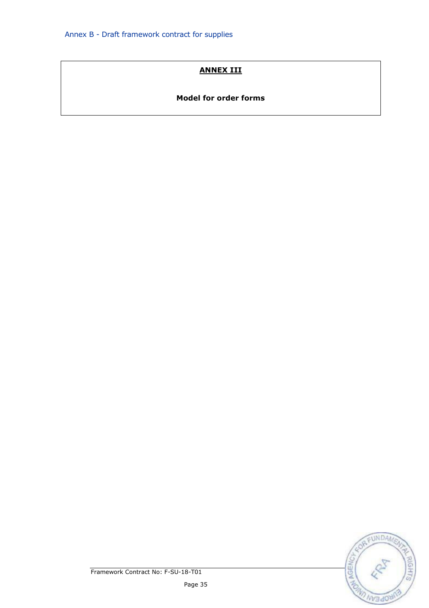# ANNEX III

### Model for order forms



Framework Contract No: F-SU-18-T01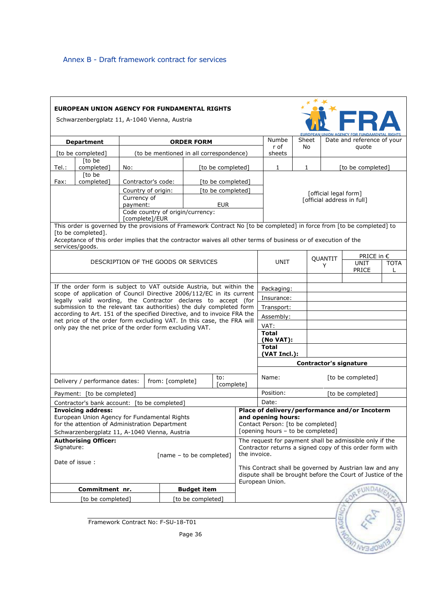| EUROPEAN UNION AGENCY FOR FUNDAMENTAL RIGHTS<br>Schwarzenbergplatz 11, A-1040 Vienna, Austria                                           |                                                                                                                                                   |          |                                         |               |                                                          |              |                                                                        |                                                             |                                                     |                     |             |
|-----------------------------------------------------------------------------------------------------------------------------------------|---------------------------------------------------------------------------------------------------------------------------------------------------|----------|-----------------------------------------|---------------|----------------------------------------------------------|--------------|------------------------------------------------------------------------|-------------------------------------------------------------|-----------------------------------------------------|---------------------|-------------|
|                                                                                                                                         |                                                                                                                                                   |          |                                         |               |                                                          |              |                                                                        |                                                             | <b>EUROPEAN UNION AGENCY FOR FUNDAMENTAL RIGHTS</b> |                     |             |
| <b>ORDER FORM</b><br><b>Department</b>                                                                                                  |                                                                                                                                                   |          |                                         | Numbe<br>r of | Sheet<br>No                                              |              | Date and reference of your<br>quote                                    |                                                             |                                                     |                     |             |
|                                                                                                                                         | [to be completed]                                                                                                                                 |          | (to be mentioned in all correspondence) |               |                                                          |              | sheets                                                                 |                                                             |                                                     |                     |             |
| Tel.:                                                                                                                                   | [to be<br>completed]                                                                                                                              | No:      |                                         |               | [to be completed]                                        |              | 1                                                                      | 1                                                           | [to be completed]                                   |                     |             |
|                                                                                                                                         | [to be<br>[to be completed]                                                                                                                       |          |                                         |               |                                                          |              |                                                                        |                                                             |                                                     |                     |             |
| completed]<br>Fax:<br>Contractor's code:                                                                                                |                                                                                                                                                   |          | [official legal form]                   |               |                                                          |              |                                                                        |                                                             |                                                     |                     |             |
| Country of origin:<br>[to be completed]<br>Currency of                                                                                  |                                                                                                                                                   |          |                                         |               |                                                          |              |                                                                        |                                                             |                                                     |                     |             |
|                                                                                                                                         |                                                                                                                                                   | payment: |                                         |               | <b>EUR</b>                                               |              |                                                                        | [official address in full]                                  |                                                     |                     |             |
|                                                                                                                                         |                                                                                                                                                   |          | Code country of origin/currency:        |               |                                                          |              |                                                                        |                                                             |                                                     |                     |             |
|                                                                                                                                         | This order is governed by the provisions of Framework Contract No [to be completed] in force from [to be completed] to                            |          | [complete]/EUR                          |               |                                                          |              |                                                                        |                                                             |                                                     |                     |             |
|                                                                                                                                         | [to be completed].                                                                                                                                |          |                                         |               |                                                          |              |                                                                        |                                                             |                                                     |                     |             |
|                                                                                                                                         | Acceptance of this order implies that the contractor waives all other terms of business or of execution of the                                    |          |                                         |               |                                                          |              |                                                                        |                                                             |                                                     |                     |             |
|                                                                                                                                         | services/goods.                                                                                                                                   |          |                                         |               |                                                          |              |                                                                        |                                                             |                                                     |                     |             |
|                                                                                                                                         |                                                                                                                                                   |          |                                         |               |                                                          |              | QUANTIT                                                                |                                                             |                                                     | PRICE in $\epsilon$ |             |
|                                                                                                                                         |                                                                                                                                                   |          | DESCRIPTION OF THE GOODS OR SERVICES    |               |                                                          |              | UNIT                                                                   |                                                             | Y                                                   | UNIT                | <b>TOTA</b> |
|                                                                                                                                         |                                                                                                                                                   |          |                                         |               |                                                          |              |                                                                        |                                                             |                                                     | PRICE               | L           |
|                                                                                                                                         | If the order form is subject to VAT outside Austria, but within the                                                                               |          |                                         |               |                                                          |              |                                                                        |                                                             |                                                     |                     |             |
|                                                                                                                                         | scope of application of Council Directive 2006/112/EC in its current                                                                              |          |                                         |               |                                                          |              | Packaging:                                                             |                                                             |                                                     |                     |             |
|                                                                                                                                         | legally valid wording, the Contractor declares to accept (for                                                                                     |          |                                         |               |                                                          |              | Insurance:                                                             |                                                             |                                                     |                     |             |
|                                                                                                                                         | submission to the relevant tax authorities) the duly completed form                                                                               |          |                                         |               |                                                          |              | Transport:                                                             |                                                             |                                                     |                     |             |
|                                                                                                                                         | according to Art. 151 of the specified Directive, and to invoice FRA the<br>net price of the order form excluding VAT. In this case, the FRA will |          |                                         |               |                                                          |              | Assembly:                                                              |                                                             |                                                     |                     |             |
|                                                                                                                                         | only pay the net price of the order form excluding VAT.                                                                                           |          |                                         |               |                                                          |              | VAT:                                                                   |                                                             |                                                     |                     |             |
|                                                                                                                                         |                                                                                                                                                   |          |                                         |               | <b>Total</b>                                             |              |                                                                        |                                                             |                                                     |                     |             |
|                                                                                                                                         |                                                                                                                                                   |          |                                         |               | (No VAT):<br><b>Total</b>                                |              |                                                                        |                                                             |                                                     |                     |             |
|                                                                                                                                         |                                                                                                                                                   |          |                                         |               |                                                          |              | (VAT Incl.):                                                           |                                                             |                                                     |                     |             |
|                                                                                                                                         |                                                                                                                                                   |          |                                         |               |                                                          |              | <b>Contractor's signature</b>                                          |                                                             |                                                     |                     |             |
|                                                                                                                                         |                                                                                                                                                   |          |                                         |               |                                                          |              |                                                                        |                                                             |                                                     |                     |             |
| [to be completed]<br>Name:<br>to:<br>Delivery / performance dates:<br>from: [complete]<br>[complete]                                    |                                                                                                                                                   |          |                                         |               |                                                          |              |                                                                        |                                                             |                                                     |                     |             |
| Position:<br>[to be completed]<br>Payment: [to be completed]                                                                            |                                                                                                                                                   |          |                                         |               |                                                          |              |                                                                        |                                                             |                                                     |                     |             |
| Date:<br>Contractor's bank account: [to be completed]                                                                                   |                                                                                                                                                   |          |                                         |               |                                                          |              |                                                                        |                                                             |                                                     |                     |             |
| <b>Invoicing address:</b><br>Place of delivery/performance and/or Incoterm                                                              |                                                                                                                                                   |          |                                         |               |                                                          |              |                                                                        |                                                             |                                                     |                     |             |
|                                                                                                                                         | European Union Agency for Fundamental Rights<br>for the attention of Administration Department                                                    |          |                                         |               |                                                          |              | and opening hours:                                                     |                                                             |                                                     |                     |             |
|                                                                                                                                         |                                                                                                                                                   |          |                                         |               |                                                          |              | Contact Person: [to be completed]<br>[opening hours - to be completed] |                                                             |                                                     |                     |             |
| Schwarzenbergplatz 11, A-1040 Vienna, Austria<br><b>Authorising Officer:</b><br>The request for payment shall be admissible only if the |                                                                                                                                                   |          |                                         |               |                                                          |              |                                                                        |                                                             |                                                     |                     |             |
| Signature:                                                                                                                              |                                                                                                                                                   |          |                                         |               | Contractor returns a signed copy of this order form with |              |                                                                        |                                                             |                                                     |                     |             |
| [name - to be completed]                                                                                                                |                                                                                                                                                   |          |                                         |               |                                                          | the invoice. |                                                                        |                                                             |                                                     |                     |             |
| Date of issue:                                                                                                                          |                                                                                                                                                   |          |                                         |               |                                                          |              |                                                                        | This Contract shall be governed by Austrian law and any     |                                                     |                     |             |
|                                                                                                                                         |                                                                                                                                                   |          |                                         |               |                                                          |              |                                                                        | dispute shall be brought before the Court of Justice of the |                                                     |                     |             |
| European Union.                                                                                                                         |                                                                                                                                                   |          |                                         |               |                                                          |              |                                                                        |                                                             |                                                     |                     |             |
| Commitment nr.<br><b>Budget item</b>                                                                                                    |                                                                                                                                                   |          |                                         |               |                                                          |              | <b>ELINDAN</b>                                                         |                                                             |                                                     |                     |             |
| [to be completed]<br>[to be completed]                                                                                                  |                                                                                                                                                   |          |                                         |               |                                                          |              |                                                                        |                                                             |                                                     |                     |             |
| <b>NGEI</b><br>Framework Contract No: F-SU-18-T01                                                                                       |                                                                                                                                                   |          |                                         |               |                                                          |              |                                                                        |                                                             |                                                     |                     |             |
|                                                                                                                                         |                                                                                                                                                   |          |                                         |               |                                                          |              |                                                                        |                                                             |                                                     |                     |             |
|                                                                                                                                         |                                                                                                                                                   |          |                                         | Page 36       |                                                          |              |                                                                        |                                                             |                                                     |                     |             |
|                                                                                                                                         |                                                                                                                                                   |          |                                         |               |                                                          |              |                                                                        |                                                             |                                                     |                     |             |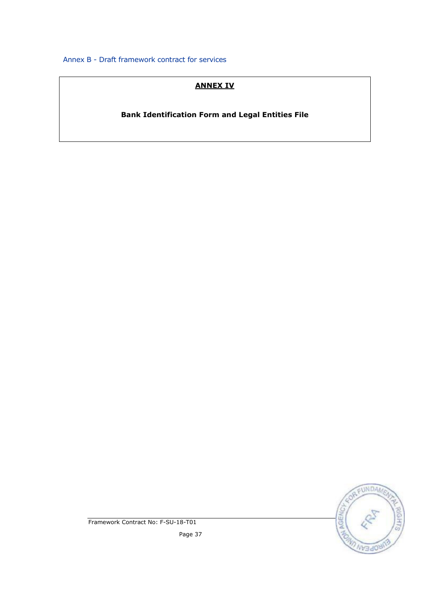## ANNEX IV

Bank Identification Form and Legal Entities File



Framework Contract No: F-SU-18-T01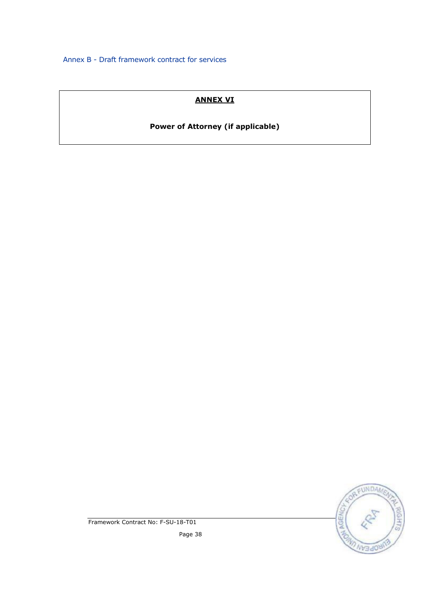# ANNEX VI

# Power of Attorney (if applicable)



Framework Contract No: F-SU-18-T01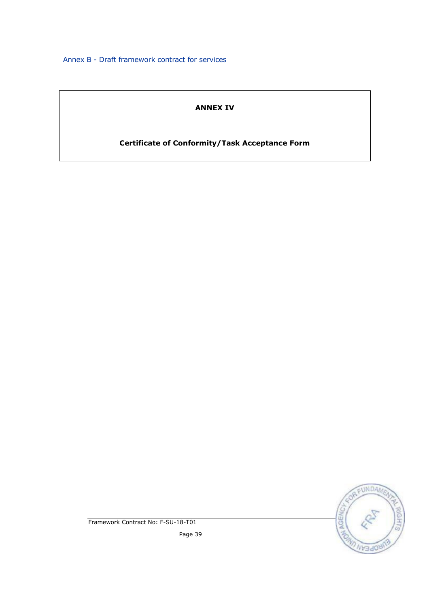# ANNEX IV

# Certificate of Conformity/Task Acceptance Form



Framework Contract No: F-SU-18-T01